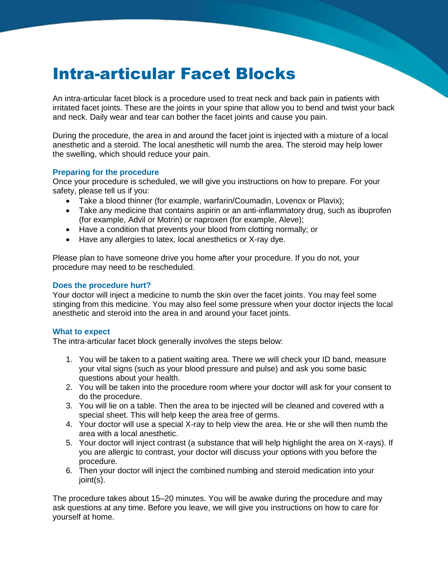# Intra-articular Facet Blocks

An intra-articular facet block is a procedure used to treat neck and back pain in patients with irritated facet joints. These are the joints in your spine that allow you to bend and twist your back and neck. Daily wear and tear can bother the facet joints and cause you pain.

During the procedure, the area in and around the facet joint is injected with a mixture of a local anesthetic and a steroid. The local anesthetic will numb the area. The steroid may help lower the swelling, which should reduce your pain.

#### **Preparing for the procedure**

Once your procedure is scheduled, we will give you instructions on how to prepare. For your safety, please tell us if you:

- Take a blood thinner (for example, warfarin/Coumadin, Lovenox or Plavix);
- Take any medicine that contains aspirin or an anti-inflammatory drug, such as ibuprofen (for example, Advil or Motrin) or naproxen (for example, Aleve);
- Have a condition that prevents your blood from clotting normally; or
- Have any allergies to latex, local anesthetics or X-ray dye.

Please plan to have someone drive you home after your procedure. If you do not, your procedure may need to be rescheduled.

## **Does the procedure hurt?**

Your doctor will inject a medicine to numb the skin over the facet joints. You may feel some stinging from this medicine. You may also feel some pressure when your doctor injects the local anesthetic and steroid into the area in and around your facet joints.

#### **What to expect**

The intra-articular facet block generally involves the steps below:

- 1. You will be taken to a patient waiting area. There we will check your ID band, measure your vital signs (such as your blood pressure and pulse) and ask you some basic questions about your health.
- 2. You will be taken into the procedure room where your doctor will ask for your consent to do the procedure.
- 3. You will lie on a table. Then the area to be injected will be cleaned and covered with a special sheet. This will help keep the area free of germs.
- 4. Your doctor will use a special X-ray to help view the area. He or she will then numb the area with a local anesthetic.
- 5. Your doctor will inject contrast (a substance that will help highlight the area on X-rays). If you are allergic to contrast, your doctor will discuss your options with you before the procedure.
- 6. Then your doctor will inject the combined numbing and steroid medication into your joint(s).

The procedure takes about 15–20 minutes. You will be awake during the procedure and may ask questions at any time. Before you leave, we will give you instructions on how to care for yourself at home.